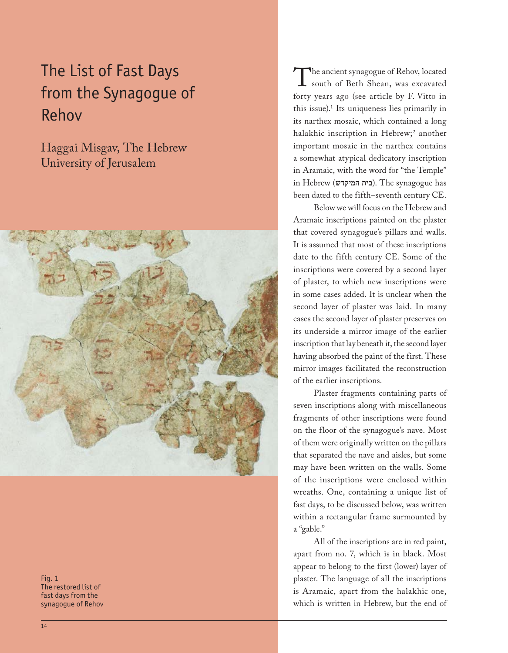# The List of Fast Days from the Synagogue of Rehov

Haggai Misgav, The Hebrew University of Jerusalem



Fig. 1 The restored list of fast days from the synagogue of Rehov

The ancient synagogue of Rehov, located<br>south of Beth Shean, was excavated<br>forty years ago (see article by F Vitto in south of Beth Shean, was excavated forty years ago (see article by F. Vitto in this issue).1 Its uniqueness lies primarily in its narthex mosaic, which contained a long halakhic inscription in Hebrew;<sup>2</sup> another important mosaic in the narthex contains a somewhat atypical dedicatory inscription in Aramaic, with the word for "the Temple" in Hebrew (בית המיקדש). The synagogue has been dated to the fifth–seventh century CE.

Below we will focus on the Hebrew and Aramaic inscriptions painted on the plaster that covered synagogue's pillars and walls. It is assumed that most of these inscriptions date to the fifth century CE. Some of the inscriptions were covered by a second layer of plaster, to which new inscriptions were in some cases added. It is unclear when the second layer of plaster was laid. In many cases the second layer of plaster preserves on its underside a mirror image of the earlier inscription that lay beneath it, the second layer having absorbed the paint of the first. These mirror images facilitated the reconstruction of the earlier inscriptions.

Plaster fragments containing parts of seven inscriptions along with miscellaneous fragments of other inscriptions were found on the floor of the synagogue's nave. Most of them were originally written on the pillars that separated the nave and aisles, but some may have been written on the walls. Some of the inscriptions were enclosed within wreaths. One, containing a unique list of fast days, to be discussed below, was written within a rectangular frame surmounted by a "gable."

All of the inscriptions are in red paint, apart from no. 7, which is in black. Most appear to belong to the first (lower) layer of plaster. The language of all the inscriptions is Aramaic, apart from the halakhic one, which is written in Hebrew, but the end of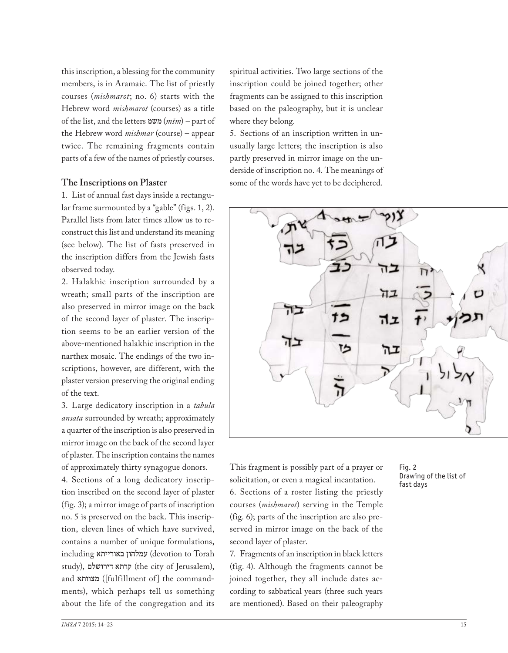this inscription, a blessing for the community members, is in Aramaic. The list of priestly courses (*mishmarot*; no. 6) starts with the Hebrew word *mishmarot* (courses) as a title of the list, and the letters משמ) *mšm*) – part of the Hebrew word *mishmar* (course) – appear twice. The remaining fragments contain parts of a few of the names of priestly courses.

## **The Inscriptions on Plaster**

1. List of annual fast days inside a rectangular frame surmounted by a "gable" (figs. 1, 2). Parallel lists from later times allow us to reconstruct this list and understand its meaning (see below). The list of fasts preserved in the inscription differs from the Jewish fasts observed today.

2. Halakhic inscription surrounded by a wreath; small parts of the inscription are also preserved in mirror image on the back of the second layer of plaster. The inscription seems to be an earlier version of the above-mentioned halakhic inscription in the narthex mosaic. The endings of the two inscriptions, however, are different, with the plaster version preserving the original ending of the text.

3. Large dedicatory inscription in a *tabula ansata* surrounded by wreath; approximately a quarter of the inscription is also preserved in mirror image on the back of the second layer of plaster. The inscription contains the names of approximately thirty synagogue donors.

4. Sections of a long dedicatory inscription inscribed on the second layer of plaster (fig. 3); a mirror image of parts of inscription no. 5 is preserved on the back. This inscription, eleven lines of which have survived, contains a number of unique formulations, including באורייתא עמלהון) devotion to Torah study), קרתא דירושלם (the city of Jerusalem), and מצוותא ([fulfillment of] the commandments), which perhaps tell us something about the life of the congregation and its

spiritual activities. Two large sections of the inscription could be joined together; other fragments can be assigned to this inscription based on the paleography, but it is unclear where they belong.

5. Sections of an inscription written in unusually large letters; the inscription is also partly preserved in mirror image on the underside of inscription no. 4. The meanings of some of the words have yet to be deciphered.



This fragment is possibly part of a prayer or solicitation, or even a magical incantation. 6. Sections of a roster listing the priestly courses (*mishmarot*) serving in the Temple (fig. 6); parts of the inscription are also preserved in mirror image on the back of the second layer of plaster.

7. Fragments of an inscription in black letters (fig. 4). Although the fragments cannot be joined together, they all include dates according to sabbatical years (three such years are mentioned). Based on their paleography

#### Fig. 2 Drawing of the list of fast days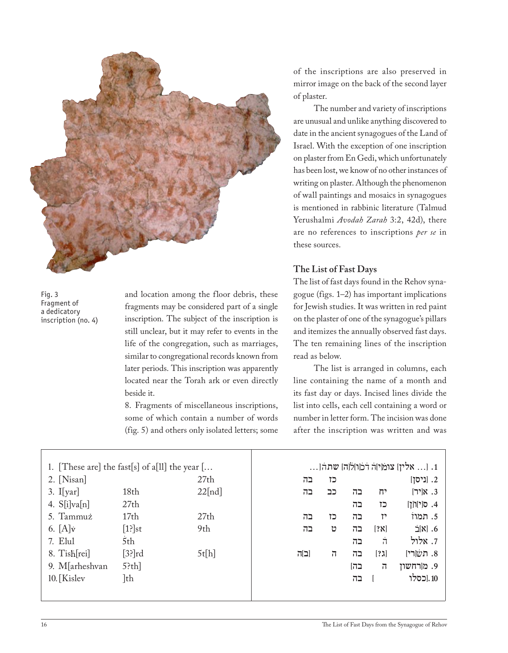

Fig. 3 Fragment of a dedicatory inscription (no. 4)

and location among the floor debris, these fragments may be considered part of a single inscription. The subject of the inscription is still unclear, but it may refer to events in the life of the congregation, such as marriages, similar to congregational records known from later periods. This inscription was apparently located near the Torah ark or even directly beside it.

8. Fragments of miscellaneous inscriptions, some of which contain a number of words (fig. 5) and others only isolated letters; some of the inscriptions are also preserved in mirror image on the back of the second layer of plaster.

The number and variety of inscriptions are unusual and unlike anything discovered to date in the ancient synagogues of the Land of Israel. With the exception of one inscription on plaster from En Gedi, which unfortunately has been lost, we know of no other instances of writing on plaster. Although the phenomenon of wall paintings and mosaics in synagogues is mentioned in rabbinic literature (Talmud Yerushalmi *Avodah Zarah* 3:2, 42d), there are no references to inscriptions *per se* in these sources.

## **The List of Fast Days**

The list of fast days found in the Rehov synagogue (figs. 1–2) has important implications for Jewish studies. It was written in red paint on the plaster of one of the synagogue's pillars and itemizes the annually observed fast days. The ten remaining lines of the inscription read as below.

The list is arranged in columns, each line containing the name of a month and its fast day or days. Incised lines divide the list into cells, each cell containing a word or number in letter form. The incision was done after the inscription was written and was

| 1. [These are] the fast[s] of a[ll] the year $[\dots]$ |                  |        | 1. [ אלין] צומן הרכוון לוהן שתה[ |                |     |                    |                          |
|--------------------------------------------------------|------------------|--------|----------------------------------|----------------|-----|--------------------|--------------------------|
| $2. \lfloor$ Nisan $\rfloor$                           |                  | 27th   | בה                               | כז             |     |                    | 2. [ניסן]                |
| $3.$ I[yar]                                            | 18th             | 22[nd] | בה                               | כב             | בה  | יח                 | $[7]$ א[יר]              |
| 4. $S[i]va[n]$                                         | 27th             |        |                                  |                | בה  | כז                 | 4. ס[י]וֹ[ןֹ]            |
| 5. Tammuż                                              | 17 <sub>th</sub> | 27th   | בה                               | כז             | בה  | יז                 | 5. תמוז                  |
| 6. $[A]\dot{v}$                                        | $[1]$ st         | 9th    | בה                               | υ              | בה  | [?x]               | $\dot{\Xi}[\text{N}]$ .6 |
| 7. Elul                                                | 5th              |        |                                  |                | בה  | $\dot{\mathbf{u}}$ | 7. אלול                  |
| 8. Tish[rei]                                           | $[3]$ rd         | 5t[h]  | [ב]ה                             | $\overline{1}$ | בה  | [?]                | 8. תשׂ[רי]               |
| 9. M[arheshvan                                         | $5$ ?th]         |        |                                  |                | בהן | $\overline{1}$     | 9. מ[רחשון               |
| 10. [Kislev                                            | ]th              |        |                                  |                | בה  |                    | 10.[כסלו                 |
|                                                        |                  |        |                                  |                |     |                    |                          |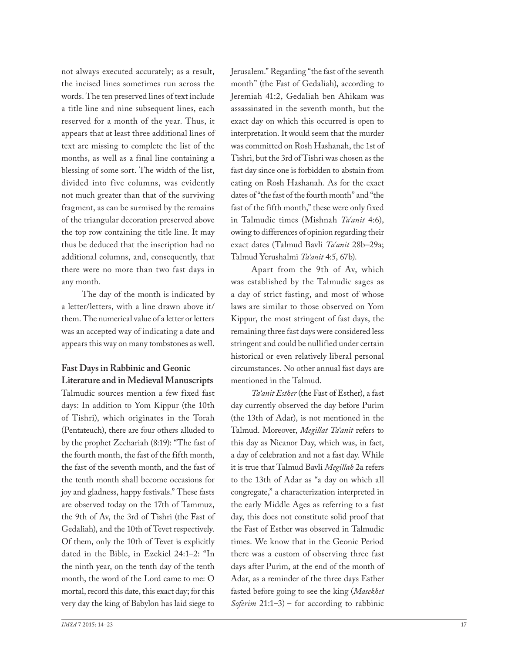not always executed accurately; as a result, the incised lines sometimes run across the words. The ten preserved lines of text include a title line and nine subsequent lines, each reserved for a month of the year. Thus, it appears that at least three additional lines of text are missing to complete the list of the months, as well as a final line containing a blessing of some sort. The width of the list, divided into five columns, was evidently not much greater than that of the surviving fragment, as can be surmised by the remains of the triangular decoration preserved above the top row containing the title line. It may thus be deduced that the inscription had no additional columns, and, consequently, that there were no more than two fast days in any month.

The day of the month is indicated by a letter/letters, with a line drawn above it/ them. The numerical value of a letter or letters was an accepted way of indicating a date and appears this way on many tombstones as well.

# **Fast Days in Rabbinic and Geonic Literature and in Medieval Manuscripts**

Talmudic sources mention a few fixed fast days: In addition to Yom Kippur (the 10th of Tishri), which originates in the Torah (Pentateuch), there are four others alluded to by the prophet Zechariah (8:19): "The fast of the fourth month, the fast of the fifth month, the fast of the seventh month, and the fast of the tenth month shall become occasions for joy and gladness, happy festivals." These fasts are observed today on the 17th of Tammuz, the 9th of Av, the 3rd of Tishri (the Fast of Gedaliah), and the 10th of Tevet respectively. Of them, only the 10th of Tevet is explicitly dated in the Bible, in Ezekiel 24:1–2: "In the ninth year, on the tenth day of the tenth month, the word of the Lord came to me: O mortal, record this date, this exact day; for this very day the king of Babylon has laid siege to

Jerusalem." Regarding "the fast of the seventh month" (the Fast of Gedaliah), according to Jeremiah 41:2, Gedaliah ben Ahikam was assassinated in the seventh month, but the exact day on which this occurred is open to interpretation. It would seem that the murder was committed on Rosh Hashanah, the 1st of Tishri, but the 3rd of Tishri was chosen as the fast day since one is forbidden to abstain from eating on Rosh Hashanah. As for the exact dates of "the fast of the fourth month" and "the fast of the fifth month," these were only fixed in Talmudic times (Mishnah *Ta'anit* 4:6), owing to differences of opinion regarding their exact dates (Talmud Bavli *Ta'anit* 28b–29a; Talmud Yerushalmi *Ta'anit* 4:5, 67b).

Apart from the 9th of Av, which was established by the Talmudic sages as a day of strict fasting, and most of whose laws are similar to those observed on Yom Kippur, the most stringent of fast days, the remaining three fast days were considered less stringent and could be nullified under certain historical or even relatively liberal personal circumstances. No other annual fast days are mentioned in the Talmud.

*Ta'anit Esther* (the Fast of Esther), a fast day currently observed the day before Purim (the 13th of Adar), is not mentioned in the Talmud. Moreover, *Megillat Ta'anit* refers to this day as Nicanor Day, which was, in fact, a day of celebration and not a fast day. While it is true that Talmud Bavli *Megillah* 2a refers to the 13th of Adar as "a day on which all congregate," a characterization interpreted in the early Middle Ages as referring to a fast day, this does not constitute solid proof that the Fast of Esther was observed in Talmudic times. We know that in the Geonic Period there was a custom of observing three fast days after Purim, at the end of the month of Adar, as a reminder of the three days Esther fasted before going to see the king (*Masekhet Soferim* 21:1–3) – for according to rabbinic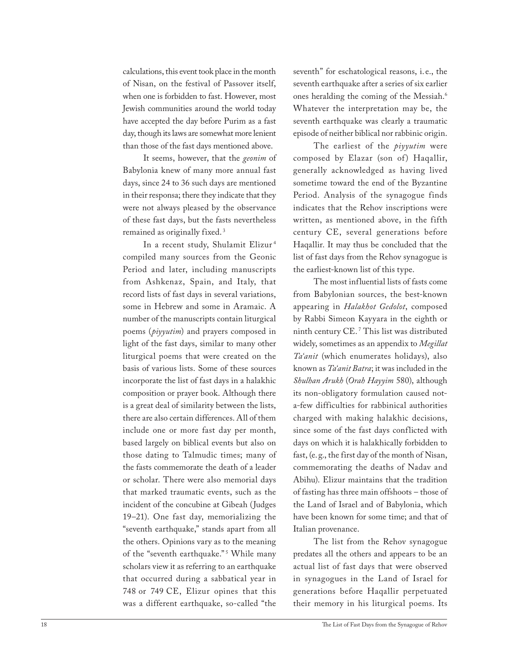calculations, this event took place in the month of Nisan, on the festival of Passover itself, when one is forbidden to fast. However, most Jewish communities around the world today have accepted the day before Purim as a fast day, though its laws are somewhat more lenient than those of the fast days mentioned above.

It seems, however, that the *geonim* of Babylonia knew of many more annual fast days, since 24 to 36 such days are mentioned in their responsa; there they indicate that they were not always pleased by the observance of these fast days, but the fasts nevertheless remained as originally fixed. <sup>3</sup>

In a recent study, Shulamit Elizur <sup>4</sup> compiled many sources from the Geonic Period and later, including manuscripts from Ashkenaz, Spain, and Italy, that record lists of fast days in several variations, some in Hebrew and some in Aramaic. A number of the manuscripts contain liturgical poems (*piyyutim*) and prayers composed in light of the fast days, similar to many other liturgical poems that were created on the basis of various lists. Some of these sources incorporate the list of fast days in a halakhic composition or prayer book. Although there is a great deal of similarity between the lists, there are also certain differences. All of them include one or more fast day per month, based largely on biblical events but also on those dating to Talmudic times; many of the fasts commemorate the death of a leader or scholar. There were also memorial days that marked traumatic events, such as the incident of the concubine at Gibeah (Judges 19–21). One fast day, memorializing the "seventh earthquake," stands apart from all the others. Opinions vary as to the meaning of the "seventh earthquake."<sup>5</sup> While many scholars view it as referring to an earthquake that occurred during a sabbatical year in 748 or 749 CE, Elizur opines that this was a different earthquake, so-called "the seventh" for eschatological reasons, i. e., the seventh earthquake after a series of six earlier ones heralding the coming of the Messiah.<sup>6</sup> Whatever the interpretation may be, the seventh earthquake was clearly a traumatic episode of neither biblical nor rabbinic origin.

The earliest of the *piyyutim* were composed by Elazar (son of) Haqallir, generally acknowledged as having lived sometime toward the end of the Byzantine Period. Analysis of the synagogue finds indicates that the Rehov inscriptions were written, as mentioned above, in the fifth century CE, several generations before Haqallir. It may thus be concluded that the list of fast days from the Rehov synagogue is the earliest-known list of this type.

The most influential lists of fasts come from Babylonian sources, the best-known appearing in *Halakhot Gedolot*, composed by Rabbi Simeon Kayyara in the eighth or ninth century CE. <sup>7</sup> This list was distributed widely, sometimes as an appendix to *Megillat Ta'anit* (which enumerates holidays), also known as *Ta'anit Batra*; it was included in the *Shulhan Arukh* (*Orah Hayyim* 580), although its non-obligatory formulation caused nota-few difficulties for rabbinical authorities charged with making halakhic decisions, since some of the fast days conflicted with days on which it is halakhically forbidden to fast, (e.g., the first day of the month of Nisan, commemorating the deaths of Nadav and Abihu). Elizur maintains that the tradition of fasting has three main offshoots – those of the Land of Israel and of Babylonia, which have been known for some time; and that of Italian provenance.

The list from the Rehov synagogue predates all the others and appears to be an actual list of fast days that were observed in synagogues in the Land of Israel for generations before Haqallir perpetuated their memory in his liturgical poems. Its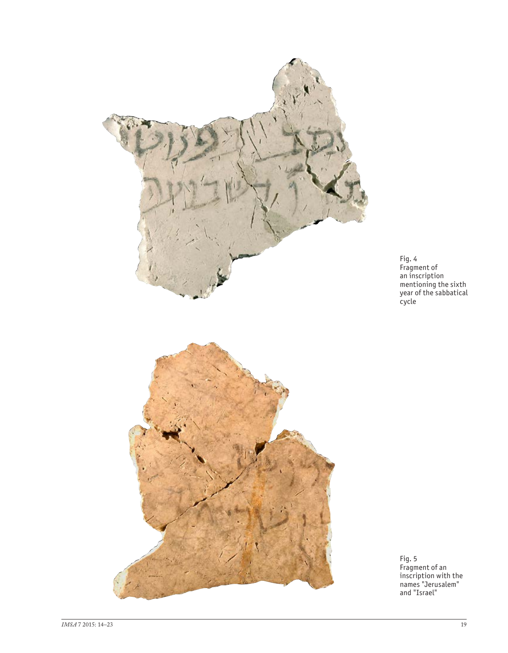

Fig. 4 Fragment of an inscription mentioning the sixth year of the sabbatical cycle

Fig. 5 Fragment of an inscription with the names "Jerusalem" and "Israel"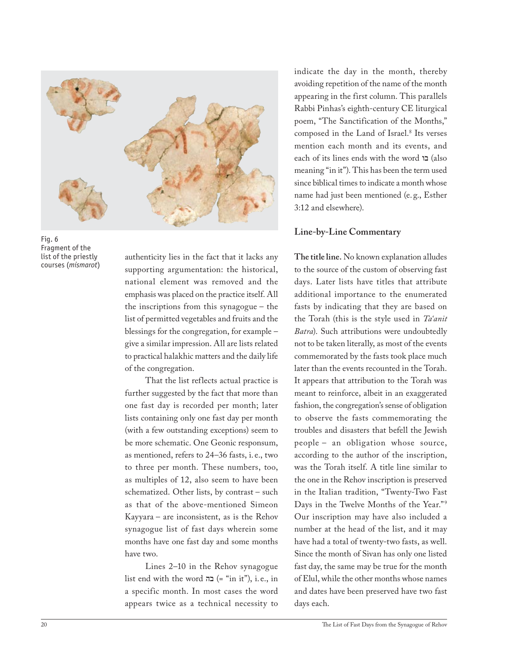



authenticity lies in the fact that it lacks any supporting argumentation: the historical, national element was removed and the emphasis was placed on the practice itself. All the inscriptions from this synagogue – the list of permitted vegetables and fruits and the blessings for the congregation, for example – give a similar impression. All are lists related to practical halakhic matters and the daily life of the congregation.

That the list reflects actual practice is further suggested by the fact that more than one fast day is recorded per month; later lists containing only one fast day per month (with a few outstanding exceptions) seem to be more schematic. One Geonic responsum, as mentioned, refers to 24–36 fasts, i. e., two to three per month. These numbers, too, as multiples of 12, also seem to have been schematized. Other lists, by contrast – such as that of the above-mentioned Simeon Kayyara – are inconsistent, as is the Rehov synagogue list of fast days wherein some months have one fast day and some months have two.

Lines 2–10 in the Rehov synagogue list end with the word  $=$  "in it"), i.e., in a specific month. In most cases the word appears twice as a technical necessity to

indicate the day in the month, thereby avoiding repetition of the name of the month appearing in the first column. This parallels Rabbi Pinhas's eighth-century CE liturgical poem, "The Sanctification of the Months," composed in the Land of Israel.<sup>8</sup> Its verses mention each month and its events, and each of its lines ends with the word בו) also meaning "in it"). This has been the term used since biblical times to indicate a month whose name had just been mentioned (e. g., Esther 3:12 and elsewhere).

## **Line-by-Line Commentary**

**The title line.** No known explanation alludes to the source of the custom of observing fast days. Later lists have titles that attribute additional importance to the enumerated fasts by indicating that they are based on the Torah (this is the style used in *Ta'anit Batra*). Such attributions were undoubtedly not to be taken literally, as most of the events commemorated by the fasts took place much later than the events recounted in the Torah. It appears that attribution to the Torah was meant to reinforce, albeit in an exaggerated fashion, the congregation's sense of obligation to observe the fasts commemorating the troubles and disasters that befell the Jewish people – an obligation whose source, according to the author of the inscription, was the Torah itself. A title line similar to the one in the Rehov inscription is preserved in the Italian tradition, "Twenty-Two Fast Days in the Twelve Months of the Year."<sup>9</sup> Our inscription may have also included a number at the head of the list, and it may have had a total of twenty-two fasts, as well. Since the month of Sivan has only one listed fast day, the same may be true for the month of Elul, while the other months whose names and dates have been preserved have two fast days each.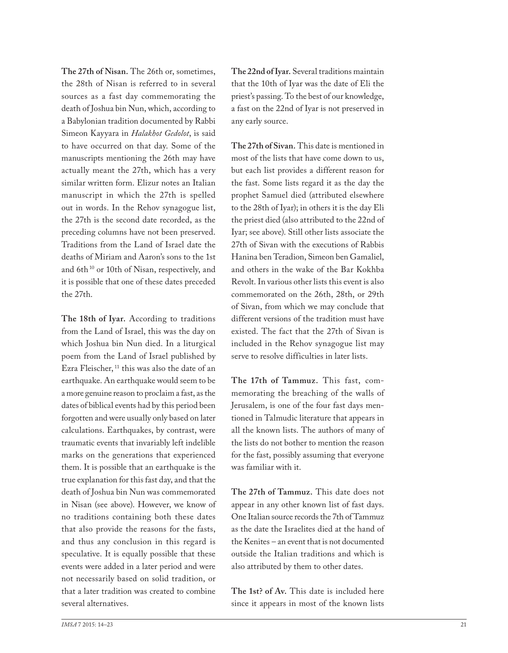**The 27th of Nisan.** The 26th or, sometimes, the 28th of Nisan is referred to in several sources as a fast day commemorating the death of Joshua bin Nun, which, according to a Babylonian tradition documented by Rabbi Simeon Kayyara in *Halakhot Gedolot*, is said to have occurred on that day. Some of the manuscripts mentioning the 26th may have actually meant the 27th, which has a very similar written form. Elizur notes an Italian manuscript in which the 27th is spelled out in words. In the Rehov synagogue list, the 27th is the second date recorded, as the preceding columns have not been preserved. Traditions from the Land of Israel date the deaths of Miriam and Aaron's sons to the 1st and 6th<sup>10</sup> or 10th of Nisan, respectively, and it is possible that one of these dates preceded the 27th.

**The 18th of Iyar.** According to traditions from the Land of Israel, this was the day on which Joshua bin Nun died. In a liturgical poem from the Land of Israel published by Ezra Fleischer, 11 this was also the date of an earthquake. An earthquake would seem to be a more genuine reason to proclaim a fast, as the dates of biblical events had by this period been forgotten and were usually only based on later calculations. Earthquakes, by contrast, were traumatic events that invariably left indelible marks on the generations that experienced them. It is possible that an earthquake is the true explanation for this fast day, and that the death of Joshua bin Nun was commemorated in Nisan (see above). However, we know of no traditions containing both these dates that also provide the reasons for the fasts, and thus any conclusion in this regard is speculative. It is equally possible that these events were added in a later period and were not necessarily based on solid tradition, or that a later tradition was created to combine several alternatives.

**The 22nd of Iyar.** Several traditions maintain that the 10th of Iyar was the date of Eli the priest's passing. To the best of our knowledge, a fast on the 22nd of Iyar is not preserved in any early source.

**The 27th of Sivan.** This date is mentioned in most of the lists that have come down to us, but each list provides a different reason for the fast. Some lists regard it as the day the prophet Samuel died (attributed elsewhere to the 28th of Iyar); in others it is the day Eli the priest died (also attributed to the 22nd of Iyar; see above). Still other lists associate the 27th of Sivan with the executions of Rabbis Hanina ben Teradion, Simeon ben Gamaliel, and others in the wake of the Bar Kokhba Revolt. In various other lists this event is also commemorated on the 26th, 28th, or 29th of Sivan, from which we may conclude that different versions of the tradition must have existed. The fact that the 27th of Sivan is included in the Rehov synagogue list may serve to resolve difficulties in later lists.

**The 17th of Tammuz.** This fast, commemorating the breaching of the walls of Jerusalem, is one of the four fast days mentioned in Talmudic literature that appears in all the known lists. The authors of many of the lists do not bother to mention the reason for the fast, possibly assuming that everyone was familiar with it.

**The 27th of Tammuz.** This date does not appear in any other known list of fast days. One Italian source records the 7th of Tammuz as the date the Israelites died at the hand of the Kenites – an event that is not documented outside the Italian traditions and which is also attributed by them to other dates.

**The 1st? of Av.** This date is included here since it appears in most of the known lists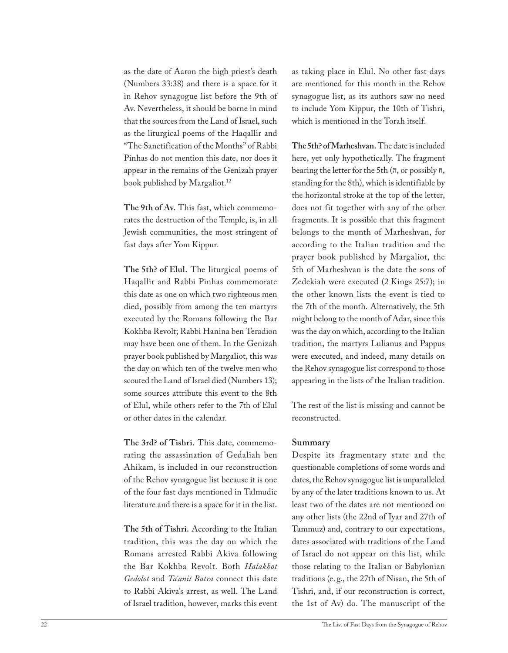as the date of Aaron the high priest's death (Numbers 33:38) and there is a space for it in Rehov synagogue list before the 9th of Av. Nevertheless, it should be borne in mind that the sources from the Land of Israel, such as the liturgical poems of the Haqallir and "The Sanctification of the Months" of Rabbi Pinhas do not mention this date, nor does it appear in the remains of the Genizah prayer book published by Margaliot.<sup>12</sup>

**The 9th of Av.** This fast, which commemorates the destruction of the Temple, is, in all Jewish communities, the most stringent of fast days after Yom Kippur.

**The 5th? of Elul.** The liturgical poems of Haqallir and Rabbi Pinhas commemorate this date as one on which two righteous men died, possibly from among the ten martyrs executed by the Romans following the Bar Kokhba Revolt; Rabbi Hanina ben Teradion may have been one of them. In the Genizah prayer book published by Margaliot, this was the day on which ten of the twelve men who scouted the Land of Israel died (Numbers 13); some sources attribute this event to the 8th of Elul, while others refer to the 7th of Elul or other dates in the calendar.

**The 3rd? of Tishri.** This date, commemorating the assassination of Gedaliah ben Ahikam, is included in our reconstruction of the Rehov synagogue list because it is one of the four fast days mentioned in Talmudic literature and there is a space for it in the list.

**The 5th of Tishri.** According to the Italian tradition, this was the day on which the Romans arrested Rabbi Akiva following the Bar Kokhba Revolt. Both *Halakhot Gedolot* and *Ta'anit Batra* connect this date to Rabbi Akiva's arrest, as well. The Land of Israel tradition, however, marks this event

as taking place in Elul. No other fast days are mentioned for this month in the Rehov synagogue list, as its authors saw no need to include Yom Kippur, the 10th of Tishri, which is mentioned in the Torah itself.

**The 5th? of Marheshvan.** The date is included here, yet only hypothetically. The fragment bearing the letter for the 5th (ה, or possibly ח, standing for the 8th), which is identifiable by the horizontal stroke at the top of the letter, does not fit together with any of the other fragments. It is possible that this fragment belongs to the month of Marheshvan, for according to the Italian tradition and the prayer book published by Margaliot, the 5th of Marheshvan is the date the sons of Zedekiah were executed (2 Kings 25:7); in the other known lists the event is tied to the 7th of the month. Alternatively, the 5th might belong to the month of Adar, since this was the day on which, according to the Italian tradition, the martyrs Lulianus and Pappus were executed, and indeed, many details on the Rehov synagogue list correspond to those appearing in the lists of the Italian tradition.

The rest of the list is missing and cannot be reconstructed.

### **Summary**

Despite its fragmentary state and the questionable completions of some words and dates, the Rehov synagogue list is unparalleled by any of the later traditions known to us. At least two of the dates are not mentioned on any other lists (the 22nd of Iyar and 27th of Tammuz) and, contrary to our expectations, dates associated with traditions of the Land of Israel do not appear on this list, while those relating to the Italian or Babylonian traditions (e. g., the 27th of Nisan, the 5th of Tishri, and, if our reconstruction is correct, the 1st of Av) do. The manuscript of the